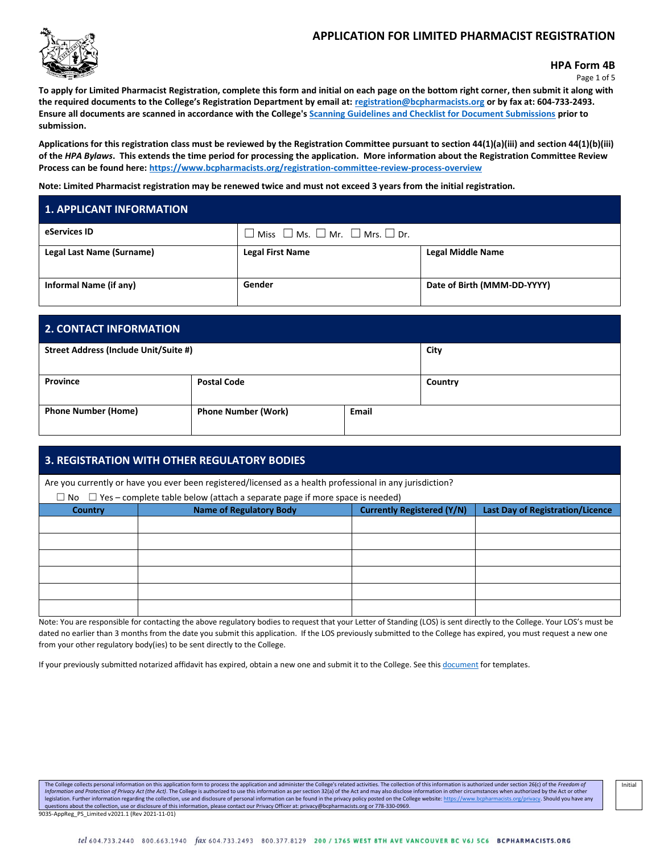## **APPLICATION FOR LIMITED PHARMACIST REGISTRATION**



**HPA Form 4B**

Page 1 of 5

**To apply for Limited Pharmacist Registration, complete this form and initial on each page on the bottom right corner, then submit it along with the required documents to the College's Registration Department by email at: [registration@bcpharmacists.org](mailto:registration@bcpharmacists.org) or by fax at: 604-733-2493. Ensure all documents are scanned in accordance with the College's [Scanning Guidelines and Checklist for Document Submissions](https://www.bcpharmacists.org/library/3_Registration_Licensure/5276-Scanning_Guidelines_Checklist_Document_Submissions_REG.pdf) prior to submission.**

**Applications for this registration class must be reviewed by the Registration Committee pursuant to section 44(1)(a)(iii) and section 44(1)(b)(iii) of the** *HPA Bylaws***. This extends the time period for processing the application. More information about the Registration Committee Review Process can be found here[: https://www.bcpharmacists.org/registration-committee-review-process-overview](https://www.bcpharmacists.org/registration-committee-review-process-overview)**

**Note: Limited Pharmacist registration may be renewed twice and must not exceed 3 years from the initial registration.**

# **1. APPLICANT INFORMATION eServices ID**  $\Box$  Miss  $\Box$  Ms.  $\Box$  Mr.  $\Box$  Mrs.  $\Box$  Dr. **Legal Last Name (Surname) Legal First Name Legal Middle Name Informal Name (if any) Cender Date of Birth** (MMM-DD-YYYY)

| <b>2. CONTACT INFORMATION</b>                 |                            |              |         |
|-----------------------------------------------|----------------------------|--------------|---------|
| Street Address (Include Unit/Suite #)<br>City |                            |              |         |
| Province                                      | <b>Postal Code</b>         |              | Country |
| <b>Phone Number (Home)</b>                    | <b>Phone Number (Work)</b> | <b>Email</b> |         |

## **3. REGISTRATION WITH OTHER REGULATORY BODIES**

Are you currently or have you ever been registered/licensed as a health professional in any jurisdiction?

| $\Box$ No $\Box$ Yes – complete table below (attach a separate page if more space is needed) |                                |                                   |                                         |
|----------------------------------------------------------------------------------------------|--------------------------------|-----------------------------------|-----------------------------------------|
| <b>Country</b>                                                                               | <b>Name of Regulatory Body</b> | <b>Currently Registered (Y/N)</b> | <b>Last Day of Registration/Licence</b> |
|                                                                                              |                                |                                   |                                         |
|                                                                                              |                                |                                   |                                         |
|                                                                                              |                                |                                   |                                         |
|                                                                                              |                                |                                   |                                         |
|                                                                                              |                                |                                   |                                         |
|                                                                                              |                                |                                   |                                         |

Note: You are responsible for contacting the above regulatory bodies to request that your Letter of Standing (LOS) is sent directly to the College. Your LOS's must be dated no earlier than 3 months from the date you submit this application. If the LOS previously submitted to the College has expired, you must request a new one from your other regulatory body(ies) to be sent directly to the College.

If your previously submitted notarized affidavit has expired, obtain a new one and submit it to the College. See this [document](http://library.bcpharmacists.org/3_Registration_Licensure/5147-Notarized_Affidavit_Samples.pdf) for templates.

The College collects personal information on this application form to process the application and administer the College's related activities. The collection of this information is authorized under section 26(c) of the Fre Information and Protection of Privacy Act (the Act). The College is authorized to use this information as per section 32(a) of the Act and may also disclose information in other circumstances when authorized by the Act or legislation. Further information regarding the collection, use and disclosure of personal information can be found in the privacy policy posted on the College websit[e: https://www.bcpharmacists.org/privacy.](https://www.bcpharmacists.org/privacy) Should you have questions about the collection, use or disclosure of this information, please contact our Privacy Officer at: privacy@bcpharmacists.org or 778-330-0969. 9035-AppReg\_PS\_Limited v2021.1 (Rev 2021-11-01)

Initial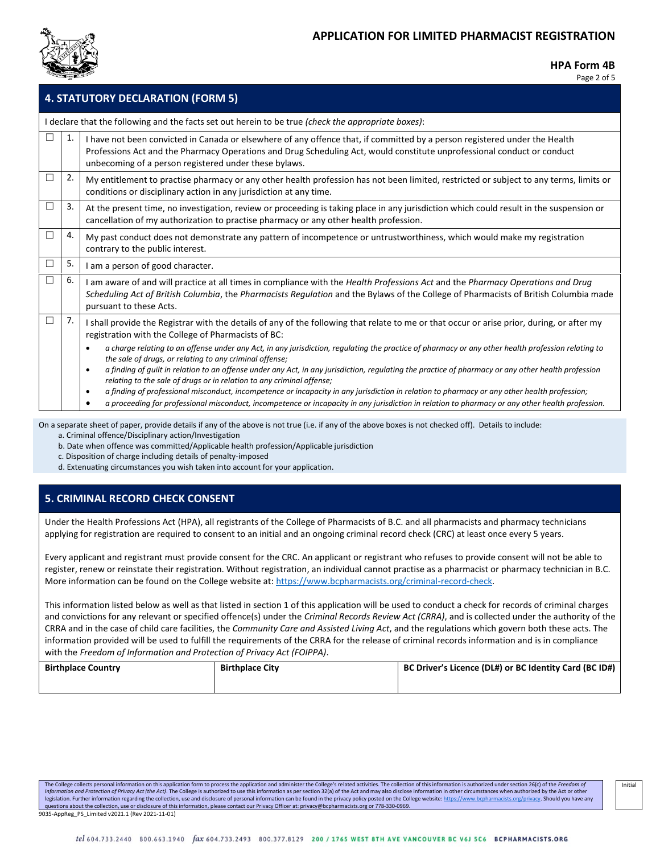

Page 2 of 5

Initial

| <b>4. STATUTORY DECLARATION (FORM 5)</b> |                                                                                                     |                                                                                                                                                                                                                                                                                                                                                                                                                                                                                                                                                                                                                                      |  |  |
|------------------------------------------|-----------------------------------------------------------------------------------------------------|--------------------------------------------------------------------------------------------------------------------------------------------------------------------------------------------------------------------------------------------------------------------------------------------------------------------------------------------------------------------------------------------------------------------------------------------------------------------------------------------------------------------------------------------------------------------------------------------------------------------------------------|--|--|
|                                          | I declare that the following and the facts set out herein to be true (check the appropriate boxes): |                                                                                                                                                                                                                                                                                                                                                                                                                                                                                                                                                                                                                                      |  |  |
| Г                                        | 1.                                                                                                  | I have not been convicted in Canada or elsewhere of any offence that, if committed by a person registered under the Health<br>Professions Act and the Pharmacy Operations and Drug Scheduling Act, would constitute unprofessional conduct or conduct<br>unbecoming of a person registered under these bylaws.                                                                                                                                                                                                                                                                                                                       |  |  |
| $\Box$                                   | 2.                                                                                                  | My entitlement to practise pharmacy or any other health profession has not been limited, restricted or subject to any terms, limits or<br>conditions or disciplinary action in any jurisdiction at any time.                                                                                                                                                                                                                                                                                                                                                                                                                         |  |  |
| $\Box$                                   | 3.                                                                                                  | At the present time, no investigation, review or proceeding is taking place in any jurisdiction which could result in the suspension or<br>cancellation of my authorization to practise pharmacy or any other health profession.                                                                                                                                                                                                                                                                                                                                                                                                     |  |  |
| Е                                        | 4.                                                                                                  | My past conduct does not demonstrate any pattern of incompetence or untrustworthiness, which would make my registration<br>contrary to the public interest.                                                                                                                                                                                                                                                                                                                                                                                                                                                                          |  |  |
| $\Box$                                   | 5.                                                                                                  | I am a person of good character.                                                                                                                                                                                                                                                                                                                                                                                                                                                                                                                                                                                                     |  |  |
| □                                        | 6.                                                                                                  | I am aware of and will practice at all times in compliance with the Health Professions Act and the Pharmacy Operations and Drug<br>Scheduling Act of British Columbia, the Pharmacists Regulation and the Bylaws of the College of Pharmacists of British Columbia made<br>pursuant to these Acts.                                                                                                                                                                                                                                                                                                                                   |  |  |
| П                                        | 7.                                                                                                  | I shall provide the Registrar with the details of any of the following that relate to me or that occur or arise prior, during, or after my<br>registration with the College of Pharmacists of BC:                                                                                                                                                                                                                                                                                                                                                                                                                                    |  |  |
|                                          |                                                                                                     | a charge relating to an offense under any Act, in any jurisdiction, regulating the practice of pharmacy or any other health profession relating to<br>$\bullet$<br>the sale of drugs, or relating to any criminal offense;<br>a finding of quilt in relation to an offense under any Act, in any jurisdiction, requlating the practice of pharmacy or any other health profession<br>$\bullet$<br>relating to the sale of drugs or in relation to any criminal offense;<br>a finding of professional misconduct, incompetence or incapacity in any jurisdiction in relation to pharmacy or any other health profession;<br>$\bullet$ |  |  |
|                                          |                                                                                                     | a proceeding for professional misconduct, incompetence or incapacity in any jurisdiction in relation to pharmacy or any other health profession.<br>$\bullet$                                                                                                                                                                                                                                                                                                                                                                                                                                                                        |  |  |

On a separate sheet of paper, provide details if any of the above is not true (i.e. if any of the above boxes is not checked off). Details to include: a. Criminal offence/Disciplinary action/Investigation

b. Date when offence was committed/Applicable health profession/Applicable jurisdiction

c. Disposition of charge including details of penalty-imposed

d. Extenuating circumstances you wish taken into account for your application.

## **5. CRIMINAL RECORD CHECK CONSENT**

Under the Health Professions Act (HPA), all registrants of the College of Pharmacists of B.C. and all pharmacists and pharmacy technicians applying for registration are required to consent to an initial and an ongoing criminal record check (CRC) at least once every 5 years.

Every applicant and registrant must provide consent for the CRC. An applicant or registrant who refuses to provide consent will not be able to register, renew or reinstate their registration. Without registration, an individual cannot practise as a pharmacist or pharmacy technician in B.C. More information can be found on the College website at[: https://www.bcpharmacists.org/criminal-record-check.](https://www.bcpharmacists.org/criminal-record-check)

This information listed below as well as that listed in section 1 of this application will be used to conduct a check for records of criminal charges and convictions for any relevant or specified offence(s) under the *Criminal Records Review Act (CRRA)*, and is collected under the authority of the CRRA and in the case of child care facilities, the *Community Care and Assisted Living Act*, and the regulations which govern both these acts. The information provided will be used to fulfill the requirements of the CRRA for the release of criminal records information and is in compliance with the *Freedom of Information and Protection of Privacy Act (FOIPPA)*.

| <b>Birthplace Country</b> | <b>Birthplace City</b> | BC Driver's Licence (DL#) or BC Identity Card (BC ID#) |
|---------------------------|------------------------|--------------------------------------------------------|
|                           |                        |                                                        |

The College collects personal information on this application form to process the application and administer the College's related activities. The collection of this information is authorized under section 26(c) of the Fre Information and Protection of Privacy Act (the Act). The College is authorized to use this information as per section 32(a) of the Act and may also disclose information in other circumstances when authorized by the Act or legislation. Further information regarding the collection, use and disclosure of personal information can be found in the privacy policy posted on the College websit[e: https://www.bcpharmacists.org/privacy.](https://www.bcpharmacists.org/privacy) Should you have questions about the collection, use or disclosure of this information, please contact our Privacy Officer at: privacy@bcpharmacists.org or 778-330-0969. 9035-AppReg\_PS\_Limited v2021.1 (Rev 2021-11-01)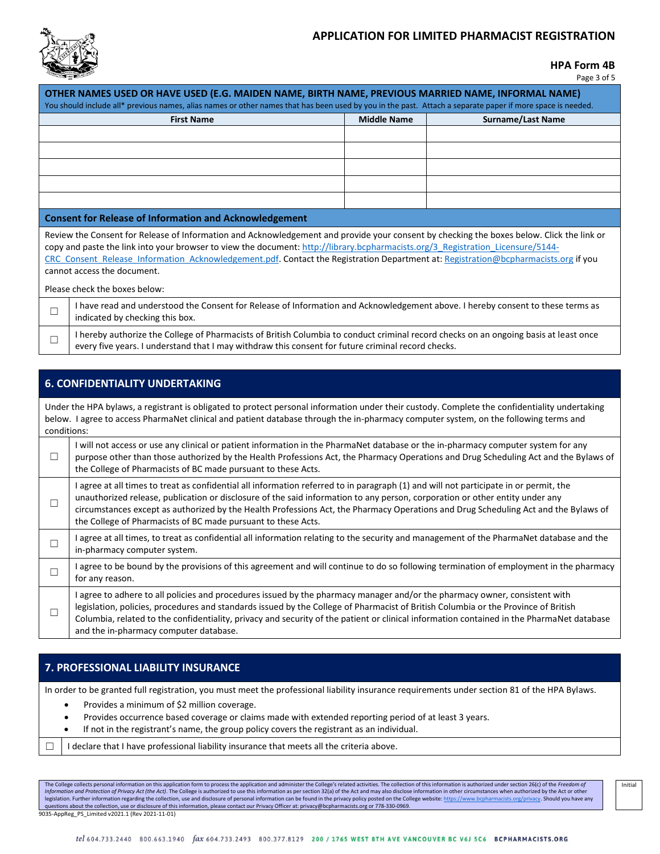

#### **HPA Form 4B**

Page 3 of 5

| OTHER NAMES USED OR HAVE USED (E.G. MAIDEN NAME, BIRTH NAME, PREVIOUS MARRIED NAME, INFORMAL NAME)<br>You should include all* previous names, alias names or other names that has been used by you in the past. Attach a separate paper if more space is needed.                                                                                                                                                                                  |                                                                                                                                                                                                                                             |                    |                   |  |
|---------------------------------------------------------------------------------------------------------------------------------------------------------------------------------------------------------------------------------------------------------------------------------------------------------------------------------------------------------------------------------------------------------------------------------------------------|---------------------------------------------------------------------------------------------------------------------------------------------------------------------------------------------------------------------------------------------|--------------------|-------------------|--|
|                                                                                                                                                                                                                                                                                                                                                                                                                                                   | <b>First Name</b>                                                                                                                                                                                                                           | <b>Middle Name</b> | Surname/Last Name |  |
|                                                                                                                                                                                                                                                                                                                                                                                                                                                   |                                                                                                                                                                                                                                             |                    |                   |  |
|                                                                                                                                                                                                                                                                                                                                                                                                                                                   |                                                                                                                                                                                                                                             |                    |                   |  |
|                                                                                                                                                                                                                                                                                                                                                                                                                                                   |                                                                                                                                                                                                                                             |                    |                   |  |
|                                                                                                                                                                                                                                                                                                                                                                                                                                                   |                                                                                                                                                                                                                                             |                    |                   |  |
|                                                                                                                                                                                                                                                                                                                                                                                                                                                   |                                                                                                                                                                                                                                             |                    |                   |  |
| <b>Consent for Release of Information and Acknowledgement</b>                                                                                                                                                                                                                                                                                                                                                                                     |                                                                                                                                                                                                                                             |                    |                   |  |
| Review the Consent for Release of Information and Acknowledgement and provide your consent by checking the boxes below. Click the link or<br>copy and paste the link into your browser to view the document: http://library.bcpharmacists.org/3 Registration Licensure/5144-<br>CRC Consent Release Information Acknowledgement.pdf. Contact the Registration Department at: Registration@bcpharmacists.org if you<br>cannot access the document. |                                                                                                                                                                                                                                             |                    |                   |  |
| Please check the boxes below:                                                                                                                                                                                                                                                                                                                                                                                                                     |                                                                                                                                                                                                                                             |                    |                   |  |
| □                                                                                                                                                                                                                                                                                                                                                                                                                                                 | I have read and understood the Consent for Release of Information and Acknowledgement above. I hereby consent to these terms as<br>indicated by checking this box.                                                                          |                    |                   |  |
| $\Box$                                                                                                                                                                                                                                                                                                                                                                                                                                            | I hereby authorize the College of Pharmacists of British Columbia to conduct criminal record checks on an ongoing basis at least once<br>every five years. I understand that I may withdraw this consent for future criminal record checks. |                    |                   |  |

## **6. CONFIDENTIALITY UNDERTAKING**

Under the HPA bylaws, a registrant is obligated to protect personal information under their custody. Complete the confidentiality undertaking below. I agree to access PharmaNet clinical and patient database through the in-pharmacy computer system, on the following terms and conditions:

| $\Box$ | will not access or use any clinical or patient information in the PharmaNet database or the in-pharmacy computer system for any<br>purpose other than those authorized by the Health Professions Act, the Pharmacy Operations and Drug Scheduling Act and the Bylaws of<br>the College of Pharmacists of BC made pursuant to these Acts.                                                                                                                                    |
|--------|-----------------------------------------------------------------------------------------------------------------------------------------------------------------------------------------------------------------------------------------------------------------------------------------------------------------------------------------------------------------------------------------------------------------------------------------------------------------------------|
| □      | agree at all times to treat as confidential all information referred to in paragraph (1) and will not participate in or permit, the<br>unauthorized release, publication or disclosure of the said information to any person, corporation or other entity under any<br>circumstances except as authorized by the Health Professions Act, the Pharmacy Operations and Drug Scheduling Act and the Bylaws of<br>the College of Pharmacists of BC made pursuant to these Acts. |
| П      | agree at all times, to treat as confidential all information relating to the security and management of the PharmaNet database and the<br>in-pharmacy computer system.                                                                                                                                                                                                                                                                                                      |
| ┐      | I agree to be bound by the provisions of this agreement and will continue to do so following termination of employment in the pharmacy<br>for any reason.                                                                                                                                                                                                                                                                                                                   |
|        | agree to adhere to all policies and procedures issued by the pharmacy manager and/or the pharmacy owner, consistent with<br>legislation, policies, procedures and standards issued by the College of Pharmacist of British Columbia or the Province of British<br>Columbia, related to the confidentiality, privacy and security of the patient or clinical information contained in the PharmaNet database<br>and the in-pharmacy computer database.                       |

# **7. PROFESSIONAL LIABILITY INSURANCE**

In order to be granted full registration, you must meet the professional liability insurance requirements under section 81 of the HPA Bylaws.

- Provides a minimum of \$2 million coverage.
- Provides occurrence based coverage or claims made with extended reporting period of at least 3 years.
- If not in the registrant's name, the group policy covers the registrant as an individual.
- $\Box$  I declare that I have professional liability insurance that meets all the criteria above.

The College collects personal information on this application form to process the application and administer the College's related activities. The collection of this information is authorized under section 26(c) of the *Fr* legislation. Further information regarding the collection, use and disclosure of personal information can be found in the privacy policy posted on the College websit[e: https://www.bcpharmacists.org/privacy.](https://www.bcpharmacists.org/privacy) Should you have questions about the collection, use or disclosure of this information, please contact our Privacy Officer at: privacy@bcpharmacists.org or 778-330-0969. 9035-AppReg\_PS\_Limited v2021.1 (Rev 2021-11-01)

Initial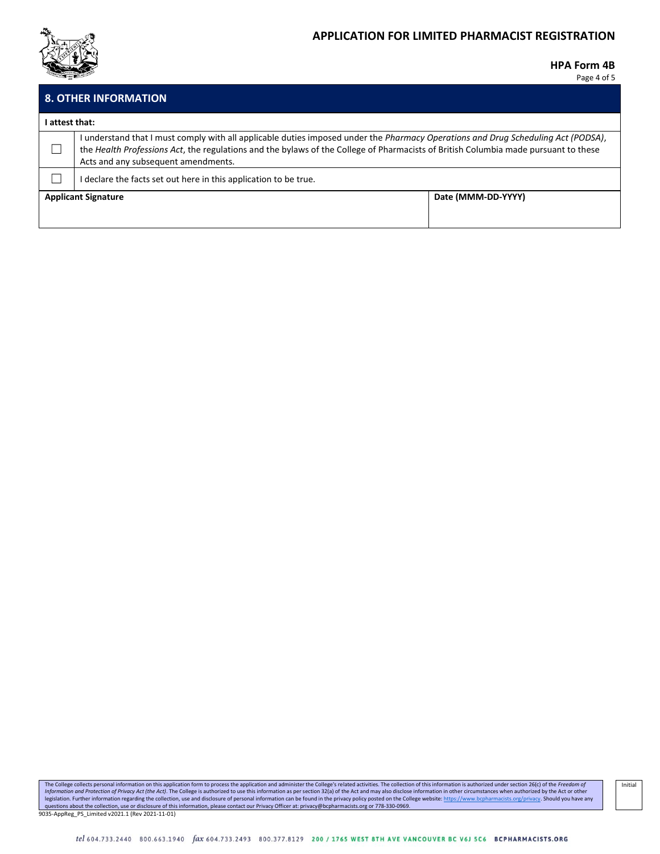

# **APPLICATION FOR LIMITED PHARMACIST REGISTRATION**

#### **HPA Form 4B**

Page 4 of 5

|                                                  | <b>8. OTHER INFORMATION</b>                                                                                                                                                                                                                                                                                     |  |  |
|--------------------------------------------------|-----------------------------------------------------------------------------------------------------------------------------------------------------------------------------------------------------------------------------------------------------------------------------------------------------------------|--|--|
| I attest that:                                   |                                                                                                                                                                                                                                                                                                                 |  |  |
|                                                  | I understand that I must comply with all applicable duties imposed under the Pharmacy Operations and Drug Scheduling Act (PODSA),<br>the Health Professions Act, the regulations and the bylaws of the College of Pharmacists of British Columbia made pursuant to these<br>Acts and any subsequent amendments. |  |  |
|                                                  | I declare the facts set out here in this application to be true.                                                                                                                                                                                                                                                |  |  |
| Date (MMM-DD-YYYY)<br><b>Applicant Signature</b> |                                                                                                                                                                                                                                                                                                                 |  |  |
|                                                  |                                                                                                                                                                                                                                                                                                                 |  |  |

The College collects personal information on this application form to process the application and administer the College's related activities. The collection of this information is authorized under section 26(c) of the *Fr* 9035-AppReg\_PS\_Limited v2021.1 (Rev 2021-11-01)